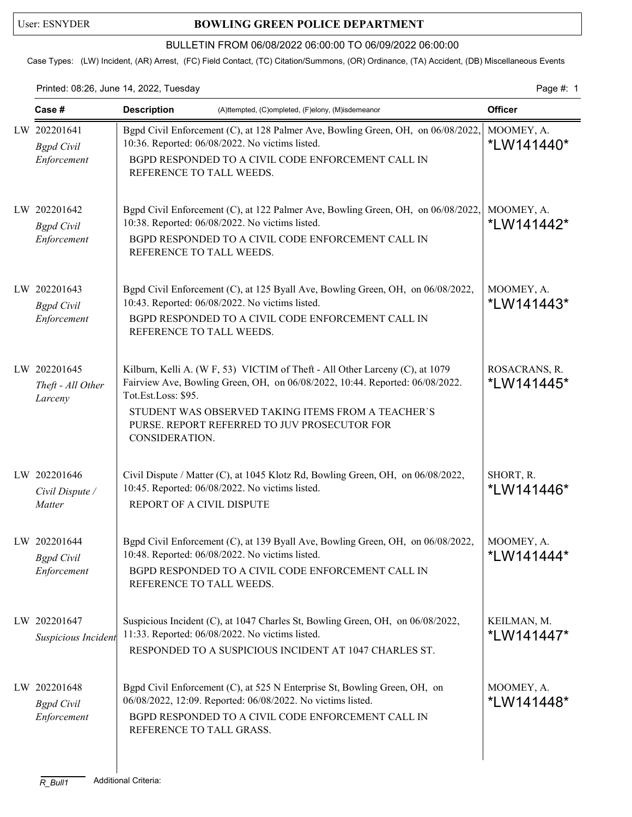## User: ESNYDER **BOWLING GREEN POLICE DEPARTMENT**

## BULLETIN FROM 06/08/2022 06:00:00 TO 06/09/2022 06:00:00

Case Types: (LW) Incident, (AR) Arrest, (FC) Field Contact, (TC) Citation/Summons, (OR) Ordinance, (TA) Accident, (DB) Miscellaneous Events

Printed: 08:26, June 14, 2022, Tuesday Page #: 1

| Case #                                           | <b>Description</b><br>(A)ttempted, (C)ompleted, (F)elony, (M)isdemeanor                                                                                                                                                                                                                                     | <b>Officer</b>              |
|--------------------------------------------------|-------------------------------------------------------------------------------------------------------------------------------------------------------------------------------------------------------------------------------------------------------------------------------------------------------------|-----------------------------|
| LW 202201641<br><b>Bgpd</b> Civil<br>Enforcement | Bgpd Civil Enforcement (C), at 128 Palmer Ave, Bowling Green, OH, on 06/08/2022,<br>10:36. Reported: 06/08/2022. No victims listed.<br>BGPD RESPONDED TO A CIVIL CODE ENFORCEMENT CALL IN<br>REFERENCE TO TALL WEEDS.                                                                                       | MOOMEY, A.<br>*LW141440*    |
| LW 202201642<br><b>Bgpd</b> Civil<br>Enforcement | Bgpd Civil Enforcement (C), at 122 Palmer Ave, Bowling Green, OH, on 06/08/2022,<br>10:38. Reported: 06/08/2022. No victims listed.<br>BGPD RESPONDED TO A CIVIL CODE ENFORCEMENT CALL IN<br>REFERENCE TO TALL WEEDS.                                                                                       | MOOMEY, A.<br>*LW141442*    |
| LW 202201643<br><b>Bgpd</b> Civil<br>Enforcement | Bgpd Civil Enforcement (C), at 125 Byall Ave, Bowling Green, OH, on 06/08/2022,<br>10:43. Reported: 06/08/2022. No victims listed.<br>BGPD RESPONDED TO A CIVIL CODE ENFORCEMENT CALL IN<br>REFERENCE TO TALL WEEDS.                                                                                        | MOOMEY, A.<br>*LW141443*    |
| LW 202201645<br>Theft - All Other<br>Larceny     | Kilburn, Kelli A. (W F, 53) VICTIM of Theft - All Other Larceny (C), at 1079<br>Fairview Ave, Bowling Green, OH, on 06/08/2022, 10:44. Reported: 06/08/2022.<br>Tot.Est.Loss: \$95.<br>STUDENT WAS OBSERVED TAKING ITEMS FROM A TEACHER'S<br>PURSE. REPORT REFERRED TO JUV PROSECUTOR FOR<br>CONSIDERATION. | ROSACRANS, R.<br>*LW141445* |
| LW 202201646<br>Civil Dispute /<br>Matter        | Civil Dispute / Matter (C), at 1045 Klotz Rd, Bowling Green, OH, on 06/08/2022,<br>10:45. Reported: 06/08/2022. No victims listed.<br>REPORT OF A CIVIL DISPUTE                                                                                                                                             | SHORT, R.<br>*LW141446*     |
| LW 202201644<br><b>Bgpd</b> Civil<br>Enforcement | Bgpd Civil Enforcement (C), at 139 Byall Ave, Bowling Green, OH, on 06/08/2022,<br>10:48. Reported: 06/08/2022. No victims listed.<br>BGPD RESPONDED TO A CIVIL CODE ENFORCEMENT CALL IN<br>REFERENCE TO TALL WEEDS.                                                                                        | MOOMEY, A.<br>*LW141444*    |
| LW 202201647<br>Suspicious Incident              | Suspicious Incident (C), at 1047 Charles St, Bowling Green, OH, on 06/08/2022,<br>11:33. Reported: 06/08/2022. No victims listed.<br>RESPONDED TO A SUSPICIOUS INCIDENT AT 1047 CHARLES ST.                                                                                                                 | KEILMAN, M.<br>*LW141447*   |
| LW 202201648<br><b>Bgpd</b> Civil<br>Enforcement | Bgpd Civil Enforcement (C), at 525 N Enterprise St, Bowling Green, OH, on<br>06/08/2022, 12:09. Reported: 06/08/2022. No victims listed.<br>BGPD RESPONDED TO A CIVIL CODE ENFORCEMENT CALL IN<br>REFERENCE TO TALL GRASS.                                                                                  | MOOMEY, A.<br>*LW141448*    |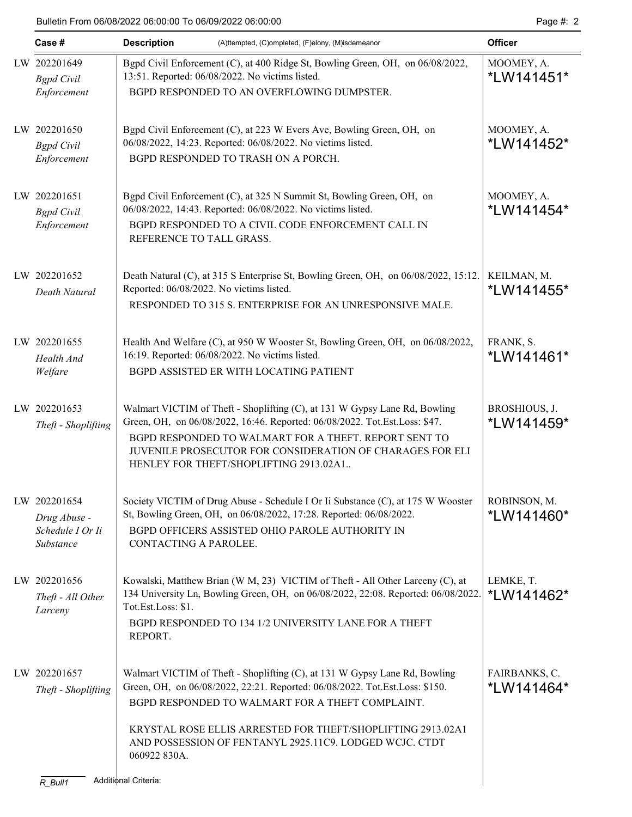|  | Case #                              | <b>Description</b>                                                                                                                | (A)ttempted, (C)ompleted, (F)elony, (M)isdemeanor                                                                                                                                                                                                                                                                        | <b>Officer</b>              |  |  |
|--|-------------------------------------|-----------------------------------------------------------------------------------------------------------------------------------|--------------------------------------------------------------------------------------------------------------------------------------------------------------------------------------------------------------------------------------------------------------------------------------------------------------------------|-----------------------------|--|--|
|  | LW 202201649<br><b>Bgpd</b> Civil   | Bgpd Civil Enforcement (C), at 400 Ridge St, Bowling Green, OH, on 06/08/2022,<br>13:51. Reported: 06/08/2022. No victims listed. | MOOMEY, A.<br>*LW141451*                                                                                                                                                                                                                                                                                                 |                             |  |  |
|  | Enforcement                         |                                                                                                                                   | BGPD RESPONDED TO AN OVERFLOWING DUMPSTER.                                                                                                                                                                                                                                                                               |                             |  |  |
|  | LW 202201650<br><b>Bgpd</b> Civil   |                                                                                                                                   | Bgpd Civil Enforcement (C), at 223 W Evers Ave, Bowling Green, OH, on<br>06/08/2022, 14:23. Reported: 06/08/2022. No victims listed.                                                                                                                                                                                     | MOOMEY, A.<br>*LW141452*    |  |  |
|  | Enforcement                         |                                                                                                                                   | BGPD RESPONDED TO TRASH ON A PORCH.                                                                                                                                                                                                                                                                                      |                             |  |  |
|  | LW 202201651<br><b>Bgpd</b> Civil   |                                                                                                                                   | Bgpd Civil Enforcement (C), at 325 N Summit St, Bowling Green, OH, on<br>06/08/2022, 14:43. Reported: 06/08/2022. No victims listed.                                                                                                                                                                                     | MOOMEY, A.<br>*LW141454*    |  |  |
|  | Enforcement                         | REFERENCE TO TALL GRASS.                                                                                                          | BGPD RESPONDED TO A CIVIL CODE ENFORCEMENT CALL IN                                                                                                                                                                                                                                                                       |                             |  |  |
|  | LW 202201652<br>Death Natural       | Reported: 06/08/2022. No victims listed.                                                                                          | Death Natural (C), at 315 S Enterprise St, Bowling Green, OH, on 06/08/2022, 15:12.                                                                                                                                                                                                                                      | KEILMAN, M.<br>*LW141455*   |  |  |
|  |                                     |                                                                                                                                   | RESPONDED TO 315 S. ENTERPRISE FOR AN UNRESPONSIVE MALE.                                                                                                                                                                                                                                                                 |                             |  |  |
|  | LW 202201655<br>Health And          |                                                                                                                                   | Health And Welfare (C), at 950 W Wooster St, Bowling Green, OH, on 06/08/2022,<br>16:19. Reported: 06/08/2022. No victims listed.                                                                                                                                                                                        | FRANK, S.<br>*LW141461*     |  |  |
|  | Welfare                             |                                                                                                                                   | BGPD ASSISTED ER WITH LOCATING PATIENT                                                                                                                                                                                                                                                                                   |                             |  |  |
|  | LW 202201653<br>Theft - Shoplifting |                                                                                                                                   | Walmart VICTIM of Theft - Shoplifting (C), at 131 W Gypsy Lane Rd, Bowling<br>Green, OH, on 06/08/2022, 16:46. Reported: 06/08/2022. Tot.Est.Loss: \$47.<br>BGPD RESPONDED TO WALMART FOR A THEFT. REPORT SENT TO<br>JUVENILE PROSECUTOR FOR CONSIDERATION OF CHARAGES FOR ELI<br>HENLEY FOR THEFT/SHOPLIFTING 2913.02A1 | BROSHIOUS, J.<br>*LW141459* |  |  |
|  | LW 202201654<br>Drug Abuse -        |                                                                                                                                   | Society VICTIM of Drug Abuse - Schedule I Or Ii Substance (C), at 175 W Wooster<br>St, Bowling Green, OH, on 06/08/2022, 17:28. Reported: 06/08/2022.                                                                                                                                                                    | ROBINSON, M.<br>*LW141460*  |  |  |
|  | Schedule I Or Ii<br>Substance       | CONTACTING A PAROLEE.                                                                                                             | BGPD OFFICERS ASSISTED OHIO PAROLE AUTHORITY IN                                                                                                                                                                                                                                                                          |                             |  |  |
|  | LW 202201656<br>Theft - All Other   |                                                                                                                                   | Kowalski, Matthew Brian (W M, 23) VICTIM of Theft - All Other Larceny (C), at<br>134 University Ln, Bowling Green, OH, on 06/08/2022, 22:08. Reported: 06/08/2022.                                                                                                                                                       | LEMKE, T.<br>*LW141462*     |  |  |
|  | Larceny                             | Tot.Est.Loss: \$1.<br>REPORT.                                                                                                     | BGPD RESPONDED TO 134 1/2 UNIVERSITY LANE FOR A THEFT                                                                                                                                                                                                                                                                    |                             |  |  |
|  | LW 202201657<br>Theft - Shoplifting |                                                                                                                                   | Walmart VICTIM of Theft - Shoplifting (C), at 131 W Gypsy Lane Rd, Bowling<br>Green, OH, on 06/08/2022, 22:21. Reported: 06/08/2022. Tot.Est.Loss: \$150.<br>BGPD RESPONDED TO WALMART FOR A THEFT COMPLAINT.                                                                                                            | FAIRBANKS, C.<br>*LW141464* |  |  |
|  |                                     | 060922 830A.                                                                                                                      | KRYSTAL ROSE ELLIS ARRESTED FOR THEFT/SHOPLIFTING 2913.02A1<br>AND POSSESSION OF FENTANYL 2925.11C9. LODGED WCJC. CTDT                                                                                                                                                                                                   |                             |  |  |
|  | Additional Criteria:<br>$R_B$ ull1  |                                                                                                                                   |                                                                                                                                                                                                                                                                                                                          |                             |  |  |